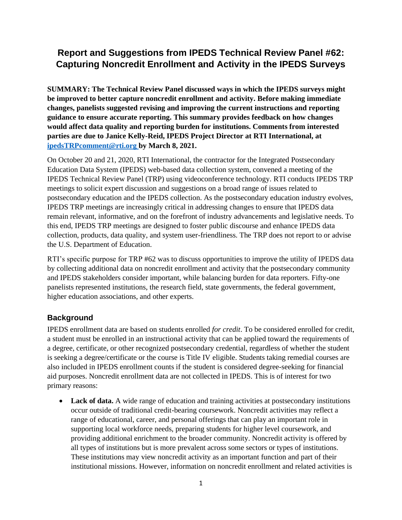# **Report and Suggestions from IPEDS Technical Review Panel #62: Capturing Noncredit Enrollment and Activity in the IPEDS Surveys**

**SUMMARY: The Technical Review Panel discussed ways in which the IPEDS surveys might be improved to better capture noncredit enrollment and activity. Before making immediate changes, panelists suggested revising and improving the current instructions and reporting guidance to ensure accurate reporting. This summary provides feedback on how changes would affect data quality and reporting burden for institutions. Comments from interested parties are due to Janice Kelly-Reid, IPEDS Project Director at RTI International, at [ipedsTRPcomment@rti.org](mailto:ipedsTRPcomment@rti.org) by March 8, 2021.**

On October 20 and 21, 2020, RTI International, the contractor for the Integrated Postsecondary Education Data System (IPEDS) web-based data collection system, convened a meeting of the IPEDS Technical Review Panel (TRP) using videoconference technology. RTI conducts IPEDS TRP meetings to solicit expert discussion and suggestions on a broad range of issues related to postsecondary education and the IPEDS collection. As the postsecondary education industry evolves, IPEDS TRP meetings are increasingly critical in addressing changes to ensure that IPEDS data remain relevant, informative, and on the forefront of industry advancements and legislative needs. To this end, IPEDS TRP meetings are designed to foster public discourse and enhance IPEDS data collection, products, data quality, and system user-friendliness. The TRP does not report to or advise the U.S. Department of Education.

RTI's specific purpose for TRP #62 was to discuss opportunities to improve the utility of IPEDS data by collecting additional data on noncredit enrollment and activity that the postsecondary community and IPEDS stakeholders consider important, while balancing burden for data reporters. Fifty-one panelists represented institutions, the research field, state governments, the federal government, higher education associations, and other experts.

## **Background**

IPEDS enrollment data are based on students enrolled *for credit*. To be considered enrolled for credit, a student must be enrolled in an instructional activity that can be applied toward the requirements of a degree, certificate, or other recognized postsecondary credential, regardless of whether the student is seeking a degree/certificate or the course is Title IV eligible. Students taking remedial courses are also included in IPEDS enrollment counts if the student is considered degree-seeking for financial aid purposes. Noncredit enrollment data are not collected in IPEDS. This is of interest for two primary reasons:

• **Lack of data.** A wide range of education and training activities at postsecondary institutions occur outside of traditional credit-bearing coursework. Noncredit activities may reflect a range of educational, career, and personal offerings that can play an important role in supporting local workforce needs, preparing students for higher level coursework, and providing additional enrichment to the broader community. Noncredit activity is offered by all types of institutions but is more prevalent across some sectors or types of institutions. These institutions may view noncredit activity as an important function and part of their institutional missions. However, information on noncredit enrollment and related activities is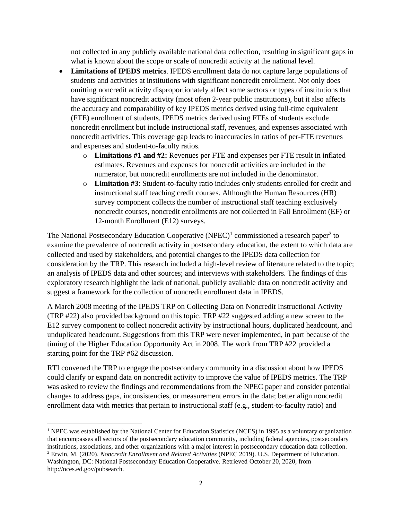not collected in any publicly available national data collection, resulting in significant gaps in what is known about the scope or scale of noncredit activity at the national level.

- **Limitations of IPEDS metrics**. IPEDS enrollment data do not capture large populations of students and activities at institutions with significant noncredit enrollment. Not only does omitting noncredit activity disproportionately affect some sectors or types of institutions that have significant noncredit activity (most often 2-year public institutions), but it also affects the accuracy and comparability of key IPEDS metrics derived using full-time equivalent (FTE) enrollment of students. IPEDS metrics derived using FTEs of students exclude noncredit enrollment but include instructional staff, revenues, and expenses associated with noncredit activities. This coverage gap leads to inaccuracies in ratios of per-FTE revenues and expenses and student-to-faculty ratios.
	- o **Limitations #1 and #2:** Revenues per FTE and expenses per FTE result in inflated estimates. Revenues and expenses for noncredit activities are included in the numerator, but noncredit enrollments are not included in the denominator.
	- o **Limitation #3**: Student-to-faculty ratio includes only students enrolled for credit and instructional staff teaching credit courses. Although the Human Resources (HR) survey component collects the number of instructional staff teaching exclusively noncredit courses, noncredit enrollments are not collected in Fall Enrollment (EF) or 12-month Enrollment (E12) surveys.

The National Postsecondary Education Cooperative (NPEC)<sup>1</sup> commissioned a research paper<sup>2</sup> to examine the prevalence of noncredit activity in postsecondary education, the extent to which data are collected and used by stakeholders, and potential changes to the IPEDS data collection for consideration by the TRP. This research included a high-level review of literature related to the topic; an analysis of IPEDS data and other sources; and interviews with stakeholders. The findings of this exploratory research highlight the lack of national, publicly available data on noncredit activity and suggest a framework for the collection of noncredit enrollment data in IPEDS.

A March 2008 meeting of the IPEDS TRP on Collecting Data on Noncredit Instructional Activity (TRP #22) also provided background on this topic. TRP #22 suggested adding a new screen to the E12 survey component to collect noncredit activity by instructional hours, duplicated headcount, and unduplicated headcount. Suggestions from this TRP were never implemented, in part because of the timing of the Higher Education Opportunity Act in 2008. The work from TRP #22 provided a starting point for the TRP #62 discussion.

RTI convened the TRP to engage the postsecondary community in a discussion about how IPEDS could clarify or expand data on noncredit activity to improve the value of IPEDS metrics. The TRP was asked to review the findings and recommendations from the NPEC paper and consider potential changes to address gaps, inconsistencies, or measurement errors in the data; better align noncredit enrollment data with metrics that pertain to instructional staff (e.g., student-to-faculty ratio) and

<sup>&</sup>lt;sup>1</sup> NPEC was established by the National Center for Education Statistics (NCES) in 1995 as a voluntary organization that encompasses all sectors of the postsecondary education community, including federal agencies, postsecondary institutions, associations, and other organizations with a major interest in postsecondary education data collection.

<sup>2</sup> Erwin, M. (2020). *Noncredit Enrollment and Related Activities* (NPEC 2019). U.S. Department of Education. Washington, DC: National Postsecondary Education Cooperative. Retrieved October 20, 2020, from http://nces.ed.gov/pubsearch.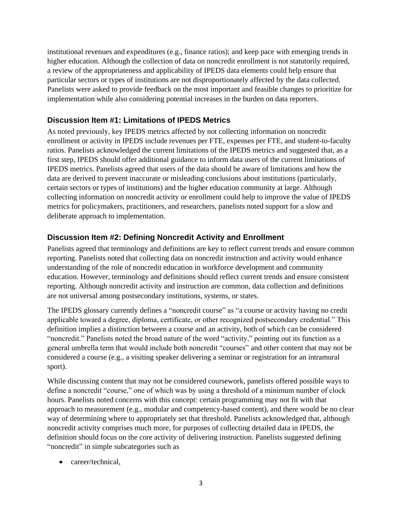institutional revenues and expenditures (e.g., finance ratios); and keep pace with emerging trends in higher education. Although the collection of data on noncredit enrollment is not statutorily required, a review of the appropriateness and applicability of IPEDS data elements could help ensure that particular sectors or types of institutions are not disproportionately affected by the data collected. Panelists were asked to provide feedback on the most important and feasible changes to prioritize for implementation while also considering potential increases in the burden on data reporters.

#### **Discussion Item #1: Limitations of IPEDS Metrics**

As noted previously, key IPEDS metrics affected by not collecting information on noncredit enrollment or activity in IPEDS include revenues per FTE, expenses per FTE, and student-to-faculty ratios. Panelists acknowledged the current limitations of the IPEDS metrics and suggested that, as a first step, IPEDS should offer additional guidance to inform data users of the current limitations of IPEDS metrics. Panelists agreed that users of the data should be aware of limitations and how the data are derived to prevent inaccurate or misleading conclusions about institutions (particularly, certain sectors or types of institutions) and the higher education community at large. Although collecting information on noncredit activity or enrollment could help to improve the value of IPEDS metrics for policymakers, practitioners, and researchers, panelists noted support for a slow and deliberate approach to implementation.

#### **Discussion Item #2: Defining Noncredit Activity and Enrollment**

Panelists agreed that terminology and definitions are key to reflect current trends and ensure common reporting. Panelists noted that collecting data on noncredit instruction and activity would enhance understanding of the role of noncredit education in workforce development and community education. However, terminology and definitions should reflect current trends and ensure consistent reporting. Although noncredit activity and instruction are common, data collection and definitions are not universal among postsecondary institutions, systems, or states.

The IPEDS glossary currently defines a "noncredit course" as "a course or activity having no credit applicable toward a degree, diploma, certificate, or other recognized postsecondary credential." This definition implies a distinction between a course and an activity, both of which can be considered "noncredit." Panelists noted the broad nature of the word "activity," pointing out its function as a general umbrella term that would include both noncredit "courses" and other content that may not be considered a course (e.g., a visiting speaker delivering a seminar or registration for an intramural sport).

While discussing content that may not be considered coursework, panelists offered possible ways to define a noncredit "course," one of which was by using a threshold of a minimum number of clock hours. Panelists noted concerns with this concept: certain programming may not fit with that approach to measurement (e.g., modular and competency-based content), and there would be no clear way of determining where to appropriately set that threshold. Panelists acknowledged that, although noncredit activity comprises much more, for purposes of collecting detailed data in IPEDS, the definition should focus on the core activity of delivering instruction. Panelists suggested defining "noncredit" in simple subcategories such as

• career/technical,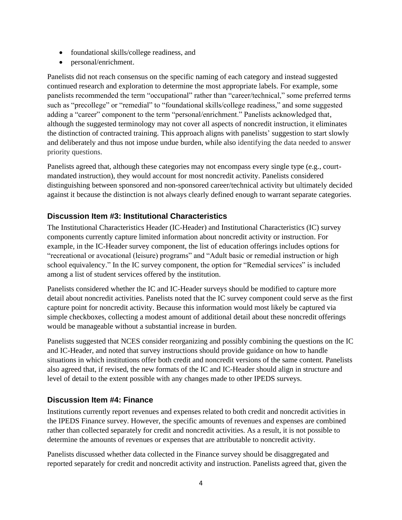- foundational skills/college readiness, and
- personal/enrichment.

Panelists did not reach consensus on the specific naming of each category and instead suggested continued research and exploration to determine the most appropriate labels. For example, some panelists recommended the term "occupational" rather than "career/technical," some preferred terms such as "precollege" or "remedial" to "foundational skills/college readiness," and some suggested adding a "career" component to the term "personal/enrichment." Panelists acknowledged that, although the suggested terminology may not cover all aspects of noncredit instruction, it eliminates the distinction of contracted training. This approach aligns with panelists' suggestion to start slowly and deliberately and thus not impose undue burden, while also identifying the data needed to answer priority questions.

Panelists agreed that, although these categories may not encompass every single type (e.g., courtmandated instruction), they would account for most noncredit activity. Panelists considered distinguishing between sponsored and non-sponsored career/technical activity but ultimately decided against it because the distinction is not always clearly defined enough to warrant separate categories.

## **Discussion Item #3: Institutional Characteristics**

The Institutional Characteristics Header (IC-Header) and Institutional Characteristics (IC) survey components currently capture limited information about noncredit activity or instruction. For example, in the IC-Header survey component, the list of education offerings includes options for "recreational or avocational (leisure) programs" and "Adult basic or remedial instruction or high school equivalency." In the IC survey component, the option for "Remedial services" is included among a list of student services offered by the institution.

Panelists considered whether the IC and IC-Header surveys should be modified to capture more detail about noncredit activities. Panelists noted that the IC survey component could serve as the first capture point for noncredit activity. Because this information would most likely be captured via simple checkboxes, collecting a modest amount of additional detail about these noncredit offerings would be manageable without a substantial increase in burden.

Panelists suggested that NCES consider reorganizing and possibly combining the questions on the IC and IC-Header, and noted that survey instructions should provide guidance on how to handle situations in which institutions offer both credit and noncredit versions of the same content. Panelists also agreed that, if revised, the new formats of the IC and IC-Header should align in structure and level of detail to the extent possible with any changes made to other IPEDS surveys.

#### **Discussion Item #4: Finance**

Institutions currently report revenues and expenses related to both credit and noncredit activities in the IPEDS Finance survey. However, the specific amounts of revenues and expenses are combined rather than collected separately for credit and noncredit activities. As a result, it is not possible to determine the amounts of revenues or expenses that are attributable to noncredit activity.

Panelists discussed whether data collected in the Finance survey should be disaggregated and reported separately for credit and noncredit activity and instruction. Panelists agreed that, given the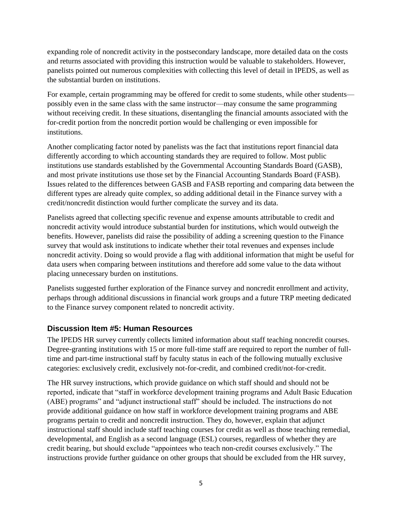expanding role of noncredit activity in the postsecondary landscape, more detailed data on the costs and returns associated with providing this instruction would be valuable to stakeholders. However, panelists pointed out numerous complexities with collecting this level of detail in IPEDS, as well as the substantial burden on institutions.

For example, certain programming may be offered for credit to some students, while other students possibly even in the same class with the same instructor—may consume the same programming without receiving credit. In these situations, disentangling the financial amounts associated with the for-credit portion from the noncredit portion would be challenging or even impossible for institutions.

Another complicating factor noted by panelists was the fact that institutions report financial data differently according to which accounting standards they are required to follow. Most public institutions use standards established by the Governmental Accounting Standards Board (GASB), and most private institutions use those set by the Financial Accounting Standards Board (FASB). Issues related to the differences between GASB and FASB reporting and comparing data between the different types are already quite complex, so adding additional detail in the Finance survey with a credit/noncredit distinction would further complicate the survey and its data.

Panelists agreed that collecting specific revenue and expense amounts attributable to credit and noncredit activity would introduce substantial burden for institutions, which would outweigh the benefits. However, panelists did raise the possibility of adding a screening question to the Finance survey that would ask institutions to indicate whether their total revenues and expenses include noncredit activity. Doing so would provide a flag with additional information that might be useful for data users when comparing between institutions and therefore add some value to the data without placing unnecessary burden on institutions.

Panelists suggested further exploration of the Finance survey and noncredit enrollment and activity, perhaps through additional discussions in financial work groups and a future TRP meeting dedicated to the Finance survey component related to noncredit activity.

## **Discussion Item #5: Human Resources**

The IPEDS HR survey currently collects limited information about staff teaching noncredit courses. Degree-granting institutions with 15 or more full-time staff are required to report the number of fulltime and part-time instructional staff by faculty status in each of the following mutually exclusive categories: exclusively credit, exclusively not-for-credit, and combined credit/not-for-credit.

The HR survey instructions, which provide guidance on which staff should and should not be reported, indicate that "staff in workforce development training programs and Adult Basic Education (ABE) programs" and "adjunct instructional staff" should be included. The instructions do not provide additional guidance on how staff in workforce development training programs and ABE programs pertain to credit and noncredit instruction. They do, however, explain that adjunct instructional staff should include staff teaching courses for credit as well as those teaching remedial, developmental, and English as a second language (ESL) courses, regardless of whether they are credit bearing, but should exclude "appointees who teach non-credit courses exclusively." The instructions provide further guidance on other groups that should be excluded from the HR survey,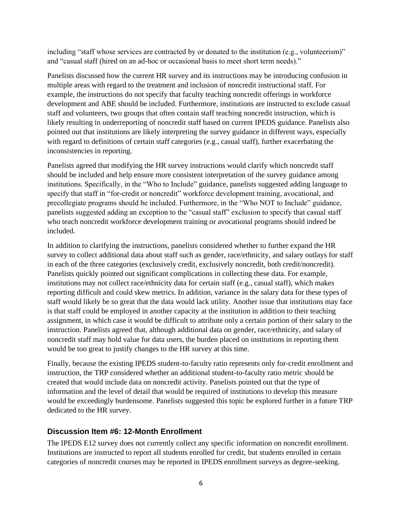including "staff whose services are contracted by or donated to the institution (e.g., volunteerism)" and "casual staff (hired on an ad-hoc or occasional basis to meet short term needs)."

Panelists discussed how the current HR survey and its instructions may be introducing confusion in multiple areas with regard to the treatment and inclusion of noncredit instructional staff. For example, the instructions do not specify that faculty teaching noncredit offerings in workforce development and ABE should be included. Furthermore, institutions are instructed to exclude casual staff and volunteers, two groups that often contain staff teaching noncredit instruction, which is likely resulting in underreporting of noncredit staff based on current IPEDS guidance. Panelists also pointed out that institutions are likely interpreting the survey guidance in different ways, especially with regard to definitions of certain staff categories (e.g., casual staff), further exacerbating the inconsistencies in reporting.

Panelists agreed that modifying the HR survey instructions would clarify which noncredit staff should be included and help ensure more consistent interpretation of the survey guidance among institutions. Specifically, in the "Who to Include" guidance, panelists suggested adding language to specify that staff in "for-credit or noncredit" workforce development training, avocational, and precollegiate programs should be included. Furthermore, in the "Who NOT to Include" guidance, panelists suggested adding an exception to the "casual staff" exclusion to specify that casual staff who teach noncredit workforce development training or avocational programs should indeed be included.

In addition to clarifying the instructions, panelists considered whether to further expand the HR survey to collect additional data about staff such as gender, race/ethnicity, and salary outlays for staff in each of the three categories (exclusively credit, exclusively noncredit, both credit/noncredit). Panelists quickly pointed out significant complications in collecting these data. For example, institutions may not collect race/ethnicity data for certain staff (e.g., casual staff), which makes reporting difficult and could skew metrics. In addition, variance in the salary data for these types of staff would likely be so great that the data would lack utility. Another issue that institutions may face is that staff could be employed in another capacity at the institution in addition to their teaching assignment, in which case it would be difficult to attribute only a certain portion of their salary to the instruction. Panelists agreed that, although additional data on gender, race/ethnicity, and salary of noncredit staff may hold value for data users, the burden placed on institutions in reporting them would be too great to justify changes to the HR survey at this time.

Finally, because the existing IPEDS student-to-faculty ratio represents only for-credit enrollment and instruction, the TRP considered whether an additional student-to-faculty ratio metric should be created that would include data on noncredit activity. Panelists pointed out that the type of information and the level of detail that would be required of institutions to develop this measure would be exceedingly burdensome. Panelists suggested this topic be explored further in a future TRP dedicated to the HR survey.

#### **Discussion Item #6: 12-Month Enrollment**

The IPEDS E12 survey does not currently collect any specific information on noncredit enrollment. Institutions are instructed to report all students enrolled for credit, but students enrolled in certain categories of noncredit courses may be reported in IPEDS enrollment surveys as degree-seeking.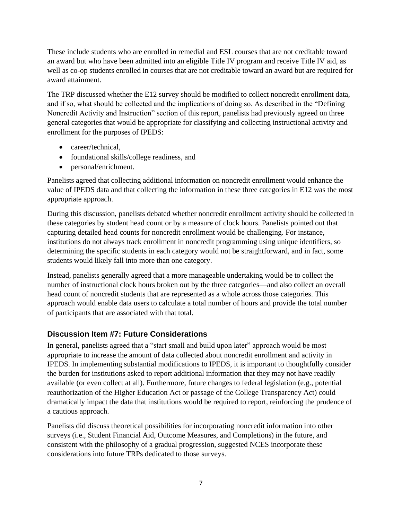These include students who are enrolled in remedial and ESL courses that are not creditable toward an award but who have been admitted into an eligible Title IV program and receive Title IV aid, as well as co-op students enrolled in courses that are not creditable toward an award but are required for award attainment.

The TRP discussed whether the E12 survey should be modified to collect noncredit enrollment data, and if so, what should be collected and the implications of doing so. As described in the "Defining Noncredit Activity and Instruction" section of this report, panelists had previously agreed on three general categories that would be appropriate for classifying and collecting instructional activity and enrollment for the purposes of IPEDS:

- career/technical,
- foundational skills/college readiness, and
- personal/enrichment.

Panelists agreed that collecting additional information on noncredit enrollment would enhance the value of IPEDS data and that collecting the information in these three categories in E12 was the most appropriate approach.

During this discussion, panelists debated whether noncredit enrollment activity should be collected in these categories by student head count or by a measure of clock hours. Panelists pointed out that capturing detailed head counts for noncredit enrollment would be challenging. For instance, institutions do not always track enrollment in noncredit programming using unique identifiers, so determining the specific students in each category would not be straightforward, and in fact, some students would likely fall into more than one category.

Instead, panelists generally agreed that a more manageable undertaking would be to collect the number of instructional clock hours broken out by the three categories—and also collect an overall head count of noncredit students that are represented as a whole across those categories. This approach would enable data users to calculate a total number of hours and provide the total number of participants that are associated with that total.

## **Discussion Item #7: Future Considerations**

In general, panelists agreed that a "start small and build upon later" approach would be most appropriate to increase the amount of data collected about noncredit enrollment and activity in IPEDS. In implementing substantial modifications to IPEDS, it is important to thoughtfully consider the burden for institutions asked to report additional information that they may not have readily available (or even collect at all). Furthermore, future changes to federal legislation (e.g., potential reauthorization of the Higher Education Act or passage of the College Transparency Act) could dramatically impact the data that institutions would be required to report, reinforcing the prudence of a cautious approach.

Panelists did discuss theoretical possibilities for incorporating noncredit information into other surveys (i.e., Student Financial Aid, Outcome Measures, and Completions) in the future, and consistent with the philosophy of a gradual progression, suggested NCES incorporate these considerations into future TRPs dedicated to those surveys.